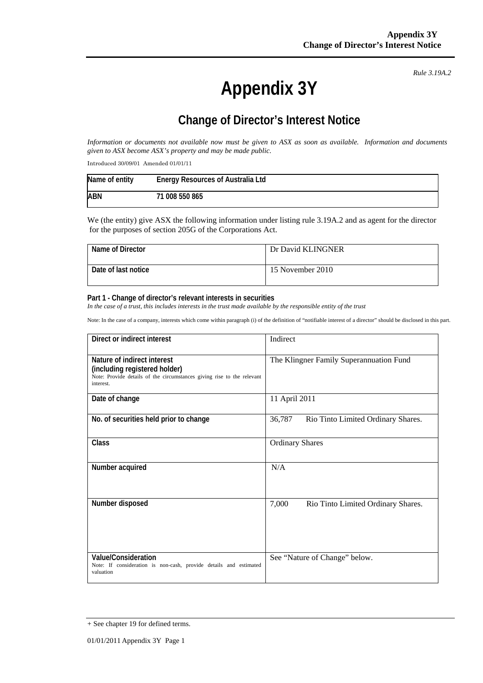**Appendix 3Y** 

*Rule 3.19A.2*

## **Change of Director's Interest Notice**

*Information or documents not available now must be given to ASX as soon as available. Information and documents given to ASX become ASX's property and may be made public.* 

Introduced 30/09/01 Amended 01/01/11

| Name of entity | <b>Energy Resources of Australia Ltd</b> |
|----------------|------------------------------------------|
| ABN            | 71 008 550 865                           |

We (the entity) give ASX the following information under listing rule 3.19A.2 and as agent for the director for the purposes of section 205G of the Corporations Act.

| Name of Director    | Dr David KLINGNER |
|---------------------|-------------------|
| Date of last notice | 15 November 2010  |

## **Part 1 - Change of director's relevant interests in securities**

In the case of a trust, this includes interests in the trust made available by the responsible entity of the trust

Note: In the case of a company, interests which come within paragraph (i) of the definition of "notifiable interest of a director" should be disclosed in this part.

| Direct or indirect interest                                                                                                                         | Indirect                                     |  |
|-----------------------------------------------------------------------------------------------------------------------------------------------------|----------------------------------------------|--|
| Nature of indirect interest<br>(including registered holder)<br>Note: Provide details of the circumstances giving rise to the relevant<br>interest. | The Klingner Family Superannuation Fund      |  |
| Date of change                                                                                                                                      | 11 April 2011                                |  |
| No. of securities held prior to change                                                                                                              | 36,787<br>Rio Tinto Limited Ordinary Shares. |  |
| <b>Class</b>                                                                                                                                        | <b>Ordinary Shares</b>                       |  |
| Number acquired                                                                                                                                     | N/A                                          |  |
| Number disposed                                                                                                                                     | 7,000<br>Rio Tinto Limited Ordinary Shares.  |  |
| <b>Value/Consideration</b><br>Note: If consideration is non-cash, provide details and estimated<br>valuation                                        | See "Nature of Change" below.                |  |

<sup>+</sup> See chapter 19 for defined terms.